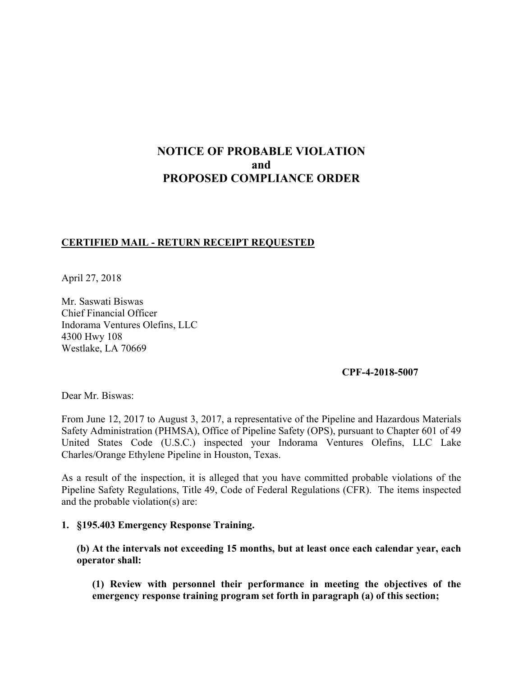# **NOTICE OF PROBABLE VIOLATION and PROPOSED COMPLIANCE ORDER**

# **CERTIFIED MAIL - RETURN RECEIPT REQUESTED**

April 27, 2018

Mr. Saswati Biswas Chief Financial Officer Indorama Ventures Olefins, LLC 4300 Hwy 108 Westlake, LA 70669

#### **CPF-4-2018-5007**

Dear Mr. Biswas:

From June 12, 2017 to August 3, 2017, a representative of the Pipeline and Hazardous Materials Safety Administration (PHMSA), Office of Pipeline Safety (OPS), pursuant to Chapter 601 of 49 United States Code (U.S.C.) inspected your Indorama Ventures Olefins, LLC Lake Charles/Orange Ethylene Pipeline in Houston, Texas.

 Pipeline Safety Regulations, Title 49, Code of Federal Regulations (CFR). The items inspected As a result of the inspection, it is alleged that you have committed probable violations of the and the probable violation(s) are:

#### **1. §195.403 Emergency Response Training.**

**(b) At the intervals not exceeding 15 months, but at least once each calendar year, each operator shall:** 

**(1) Review with personnel their performance in meeting the objectives of the emergency response training program set forth in paragraph (a) of this section;**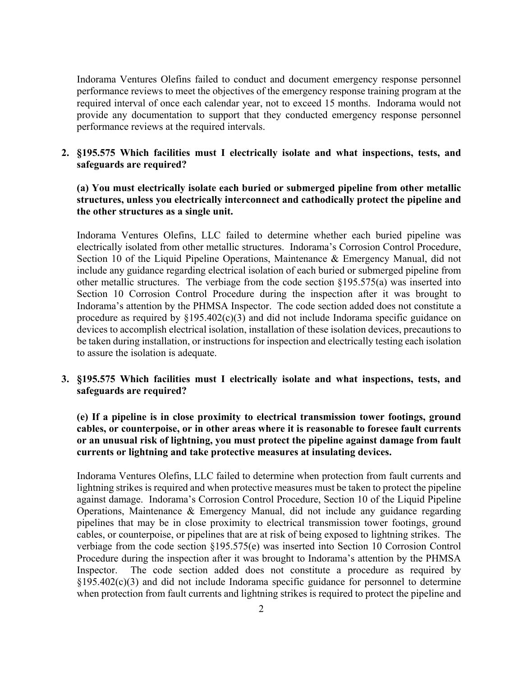Indorama Ventures Olefins failed to conduct and document emergency response personnel performance reviews to meet the objectives of the emergency response training program at the required interval of once each calendar year, not to exceed 15 months. Indorama would not provide any documentation to support that they conducted emergency response personnel performance reviews at the required intervals.

#### **2. §195.575 Which facilities must I electrically isolate and what inspections, tests, and safeguards are required?**

## **(a) You must electrically isolate each buried or submerged pipeline from other metallic structures, unless you electrically interconnect and cathodically protect the pipeline and the other structures as a single unit.**

Indorama Ventures Olefins, LLC failed to determine whether each buried pipeline was electrically isolated from other metallic structures. Indorama's Corrosion Control Procedure, Section 10 of the Liquid Pipeline Operations, Maintenance & Emergency Manual, did not include any guidance regarding electrical isolation of each buried or submerged pipeline from other metallic structures. The verbiage from the code section §195.575(a) was inserted into Section 10 Corrosion Control Procedure during the inspection after it was brought to Indorama's attention by the PHMSA Inspector. The code section added does not constitute a procedure as required by  $\S 195.402(c)(3)$  and did not include Indorama specific guidance on devices to accomplish electrical isolation, installation of these isolation devices, precautions to be taken during installation, or instructions for inspection and electrically testing each isolation to assure the isolation is adequate.

#### **3. §195.575 Which facilities must I electrically isolate and what inspections, tests, and safeguards are required?**

## **(e) If a pipeline is in close proximity to electrical transmission tower footings, ground cables, or counterpoise, or in other areas where it is reasonable to foresee fault currents or an unusual risk of lightning, you must protect the pipeline against damage from fault currents or lightning and take protective measures at insulating devices.**

 Indorama Ventures Olefins, LLC failed to determine when protection from fault currents and lightning strikes is required and when protective measures must be taken to protect the pipeline against damage. Indorama's Corrosion Control Procedure, Section 10 of the Liquid Pipeline Operations, Maintenance & Emergency Manual, did not include any guidance regarding pipelines that may be in close proximity to electrical transmission tower footings, ground cables, or counterpoise, or pipelines that are at risk of being exposed to lightning strikes. The verbiage from the code section §195.575(e) was inserted into Section 10 Corrosion Control Procedure during the inspection after it was brought to Indorama's attention by the PHMSA Inspector. The code section added does not constitute a procedure as required by §195.402(c)(3) and did not include Indorama specific guidance for personnel to determine when protection from fault currents and lightning strikes is required to protect the pipeline and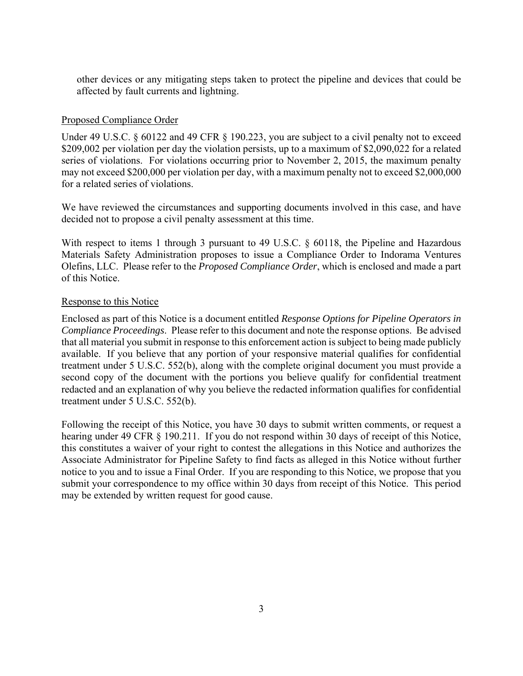other devices or any mitigating steps taken to protect the pipeline and devices that could be affected by fault currents and lightning.

#### Proposed Compliance Order

 may not exceed \$200,000 per violation per day, with a maximum penalty not to exceed \$2,000,000 Under 49 U.S.C. § 60122 and 49 CFR § 190.223, you are subject to a civil penalty not to exceed \$209,002 per violation per day the violation persists, up to a maximum of \$2,090,022 for a related series of violations. For violations occurring prior to November 2, 2015, the maximum penalty for a related series of violations.

 decided not to propose a civil penalty assessment at this time. We have reviewed the circumstances and supporting documents involved in this case, and have

With respect to items 1 through 3 pursuant to 49 U.S.C. § 60118, the Pipeline and Hazardous Materials Safety Administration proposes to issue a Compliance Order to Indorama Ventures Olefins, LLC. Please refer to the *Proposed Compliance Order*, which is enclosed and made a part of this Notice.

#### Response to this Notice

 *Compliance Proceedings*. Please refer to this document and note the response options. Be advised treatment under 5 U.S.C. 552(b), along with the complete original document you must provide a Enclosed as part of this Notice is a document entitled *Response Options for Pipeline Operators in*  that all material you submit in response to this enforcement action is subject to being made publicly available. If you believe that any portion of your responsive material qualifies for confidential second copy of the document with the portions you believe qualify for confidential treatment redacted and an explanation of why you believe the redacted information qualifies for confidential treatment under 5 U.S.C. 552(b).

 submit your correspondence to my office within 30 days from receipt of this Notice. This period Following the receipt of this Notice, you have 30 days to submit written comments, or request a hearing under 49 CFR § 190.211. If you do not respond within 30 days of receipt of this Notice, this constitutes a waiver of your right to contest the allegations in this Notice and authorizes the Associate Administrator for Pipeline Safety to find facts as alleged in this Notice without further notice to you and to issue a Final Order. If you are responding to this Notice, we propose that you may be extended by written request for good cause.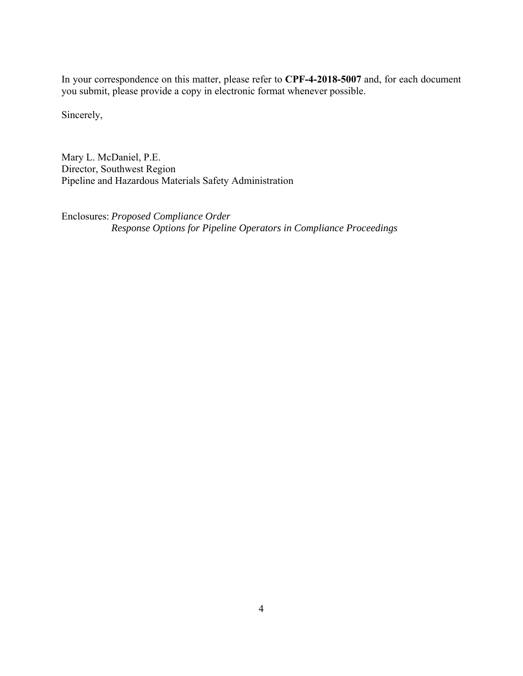In your correspondence on this matter, please refer to **CPF-4-2018-5007** and, for each document you submit, please provide a copy in electronic format whenever possible.

Sincerely,

Mary L. McDaniel, P.E. Director, Southwest Region Pipeline and Hazardous Materials Safety Administration

Enclosures: *Proposed Compliance Order Response Options for Pipeline Operators in Compliance Proceedings*